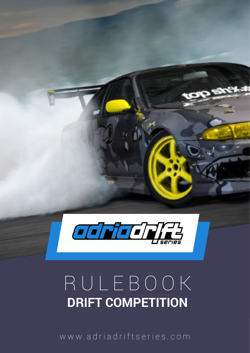

# RULEBOOK **DRIFT COMPETITION**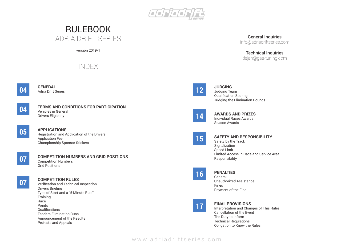www.adriadriftseries.com

**JUDGING**

Judging Team Qualification Scoring Judging the Elimination Rounds

**AWARDS AND PRIZES** Individual Races Awards Season Awards

#### **SAFETY AND RESPONSIBILITY**

Safety by the Track **Signalization** Speed Limit Limited Access in Race and Service Area Responsibility

**PENALTIES**

General Unauthorized Assistance Fines Payment of the Fine

# **FINAL PROVISIONS**

Interpretation and Changes of This Rules Cancellation of the Event The Duty to Inform Technical Regulations Obligation to Know the Rules

**GENERAL** Adria Drift Series

#### **TERMS AND CONDITIONS FOR PARTICIPATION** Vehicles in General Drivers Eligibility

### **APPLICATIONS**

Registration and Application of the Drivers Application Fee Championship Sponsor Stickers

#### **COMPETITION NUMBERS AND GRID POSITIONS** Competition Numbers Grid Positions

#### **COMPETITION RULES**

Verification and Technical Inspection Drivers Briefing Type of Start and a "5-Minute Rule" **Training** Race Points **Qualifications** Tandem Elimination Runs Announcement of the Results Protests and Appeals

**05**

**04**

**04**



**07**

**15**



**14**

**16**





# RULEBOOK ADRIA DRIFT SERIES

version 2019/1

# INDEX



# Technical Inquiries

dejan@gas-tuning.com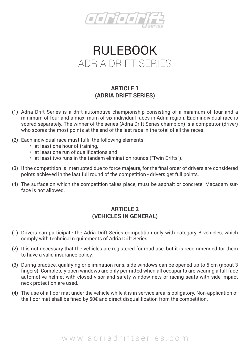

# RULEBOOK ADRIA DRIFT SERIES

### **ARTICLE 1 (ADRIA DRIFT SERIES)**

- (1) Adria Drift Series is a drift automotive championship consisting of a minimum of four and a minimum of four and a maxi-mum of six individual races in Adria region. Each individual race is scored separately. The winner of the series (Adria Drift Series champion) is a competitor (driver) who scores the most points at the end of the last race in the total of all the races.
- (2) Each individual race must fulfil the following elements:
	- at least one hour of training,
	- at least one run of qualifications and
	- at least two runs in the tandem elimination rounds ("Twin Drifts").
- (3) If the competition is interrupted due to force majeure, for the final order of drivers are considered points achieved in the last full round of the competition - drivers get full points.
- (4) The surface on which the competition takes place, must be asphalt or concrete. Macadam surface is not allowed.

#### **ARTICLE 2 (VEHICLES IN GENERAL)**

- (1) Drivers can participate the Adria Drift Series competition only with category B vehicles, which comply with technical requirements of Adria Drift Series.
- (2) It is not necessary that the vehicles are registered for road use, but it is recommended for them to have a valid insurance policy.
- (3) During practice, qualifying or elimination runs, side windows can be opened up to 5 cm (about 3 fingers). Completely open windows are only permitted when all occupants are wearing a full-face automotive helmet with closed visor and safety window nets or racing seats with side impact neck protection are used.
- (4) The use of a floor mat under the vehicle while it is in service area is obligatory. Non-application of the floor mat shall be fined by 50€ and direct disqualification from the competition.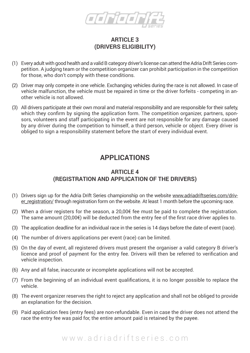

#### **ARTICLE 3 (DRIVERS ELIGIBILITY)**

- (1) Every adult with good health and a valid B category driver's license can attend the Adria Drift Series competition. A judging team or the competition organizer can prohibit participation in the competition for those, who don't comply with these conditions.
- (2) Driver may only compete in one vehicle. Exchanging vehicles during the race is not allowed. In case of vehicle malfunction, the vehicle must be repaired in time or the driver forfeits - competing in another vehicle is not allowed.
- (3) All drivers participate at their own moral and material responsibility and are responsible for their safety, which they confirm by signing the application form. The competition organizer, partners, sponsors, volunteers and staff participating in the event are not responsible for any damage caused by any driver during the competition to himself, a third person, vehicle or object. Every driver is obliged to sign a responsibility statement before the start of every individual event.

# **APPLICATIONS**

#### **ARTICLE 4 (REGISTRATION AND APPLICATION OF THE DRIVERS)**

- (1) Drivers sign up for the Adria Drift Series championship on the website www.adriadriftseries.com/driver\_registration/ through registration form on the website. At least 1 month before the upcoming race.
- (2) When a driver registers for the season, a 20,00 $\epsilon$  fee must be paid to complete the registration. The same amount (20,00€) will be deducted from the entry fee of the first race driver applies to.
- (3) The application deadline for an individual race in the series is 14 days before the date of event (race).
- (4) The number of drivers applications per event (race) can be limited.
- (5) On the day of event, all registered drivers must present the organiser a valid category B driver's licence and proof of payment for the entry fee. Drivers will then be referred to verification and vehicle inspection.
- (6) Any and all false, inaccurate or incomplete applications will not be accepted.
- (7) From the beginning of an individual event qualifications, it is no longer possible to replace the vehicle.
- (8) The event organizer reserves the right to reject any application and shall not be obliged to provide an explanation for the decision.
- (9) Paid application fees (entry fees) are non-refundable. Even in case the driver does not attend the race the entry fee was paid for, the entire amount paid is retained by the payee.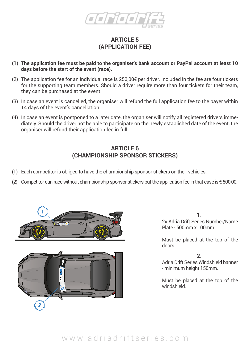

#### **ARTICLE 5 (APPLICATION FEE)**

- **(1) The application fee must be paid to the organiser's bank account or PayPal account at least 10 days before the start of the event (race).**
- (2) The application fee for an individual race is  $250,00$  f per driver. Included in the fee are four tickets for the supporting team members. Should a driver require more than four tickets for their team, they can be purchased at the event.
- (3) In case an event is cancelled, the organiser will refund the full application fee to the payer within 14 days of the event's cancellation.
- (4) In case an event is postponed to a later date, the organiser will notify all registered drivers immediately. Should the driver not be able to participate on the newly established date of the event, the organiser will refund their application fee in full

#### **ARTICLE 6 (CHAMPIONSHIP SPONSOR STICKERS)**

- (1) Each competitor is obliged to have the championship sponsor stickers on their vehicles.
- (2) Competitor can race without championship sponsor stickers but the application fee in that case is  $\epsilon$  500,00.





**1.** 2x Adria Drift Series Number/Name Plate - 500mm x 100mm.

Must be placed at the top of the doors.

**2.**

Adria Drift Series Windshield banner - minimum height 150mm.

Must be placed at the top of the windshield.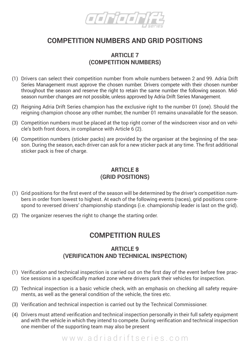

# **COMPETITION NUMBERS AND GRID POSITIONS**

#### **ARTICLE 7 (COMPETITION NUMBERS)**

- (1) Drivers can select their competition number from whole numbers between 2 and 99. Adria Drift Series Management must approve the chosen number. Drivers compete with their chosen number throughout the season and reserve the right to retain the same number the following season. Midseason number changes are not possible, unless approved by Adria Drift Series Management.
- (2) Reigning Adria Drift Series champion has the exclusive right to the number 01 (one). Should the reigning champion choose any other number, the number 01 remains unavailable for the season.
- (3) Competition numbers must be placed at the top right corner of the windscreen visor and on vehicle's both front doors, in compliance with Article 6 (2).
- (4) Competition numbers (sticker packs) are provided by the organiser at the beginning of the season. During the season, each driver can ask for a new sticker pack at any time. The first additional sticker pack is free of charge.

#### **ARTICLE 8 (GRID POSITIONS)**

- (1) Grid positions for the first event of the season will be determined by the driver's competition numbers in order from lowest to highest. At each of the following events (races), grid positions correspond to reversed drivers' championship standings (i.e. championship leader is last on the grid).
- (2) The organizer reserves the right to change the starting order.

### **COMPETITION RULES**

#### **ARTICLE 9 (VERIFICATION AND TECHNICAL INSPECTION)**

- (1) Verification and technical inspection is carried out on the first day of the event before free practice sessions in a specifically marked zone where drivers park their vehicles for inspection.
- (2) Technical inspection is a basic vehicle check, with an emphasis on checking all safety requirements, as well as the general condition of the vehicle, the tires etc.
- (3) Verification and technical inspection is carried out by the Technical Commissioner.
- (4) Drivers must attend verification and technical inspection personally in their full safety equipment and with the vehicle in which they intend to compete. During verification and technical inspection one member of the supporting team may also be present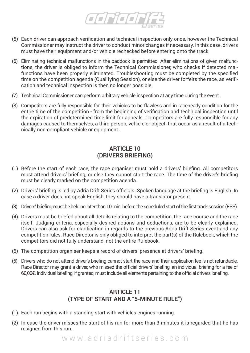

- (5) Each driver can approach verification and technical inspection only once, however the Technical Commissioner may instruct the driver to conduct minor changes if necessary. In this case, drivers must have their equipment and/or vehicle rechecked before entering onto the track.
- (6) Eliminating technical malfunctions in the paddock is permitted. After eliminations of given malfunctions, the driver is obliged to inform the Technical Commissioner, who checks if detected malfunctions have been properly eliminated. Troubleshooting must be completed by the specified time on the competition agenda (Qualifying Session), or else the driver forfeits the race, as verification and technical inspection is then no longer possible.
- (7) Technical Commissioner can perform arbitrary vehicle inspection at any time during the event.
- (8) Competitors are fully responsible for their vehicles to be flawless and in race-ready condition for the entire time of the competition - from the beginning of verification and technical inspection until the expiration of predetermined time limit for appeals. Competitors are fully responsible for any damages caused to themselves, a third person, vehicle or object, that occur as a result of a technically non-compliant vehicle or equipment.

#### **ARTICLE 10 (DRIVERS BRIEFING)**

- (1) Before the start of each race, the race organiser must hold a drivers' briefing. All competitors must attend drivers' briefing, or else they cannot start the race. The time of the driver's briefing must be clearly marked on the competition agenda.
- (2) Drivers' briefing is led by Adria Drift Series officials. Spoken language at the briefing is English. In case a driver does not speak English, they should have a translator present.
- (3) Drivers' briefing must be held no later than 10 min. before the scheduled start of the first track session (FPS).
- (4) Drivers must be briefed about all details relating to the competition, the race course and the race itself. Judging criteria, especially desired actions and deductions, are to be clearly explained. Drivers can also ask for clarification in regards to the previous Adria Drift Series event and any competition rules. Race Director is only obliged to interpret the part(s) of the Rulebook, which the competitors did not fully understand, not the entire Rulebook.
- (5) The competition organiser keeps a record of drivers' presence at drivers' briefing.
- (6) Drivers who do not attend driver's briefing cannot start the race and their application fee is not refundable. Race Director may grant a driver, who missed the official drivers' briefing, an individual briefing for a fee of 60,00€. Individual briefing, if granted, must include all elements pertaining to the official drivers' briefing.

#### **ARTICLE 11 (TYPE OF START AND A "5-MINUTE RULE")**

- (1) Each run begins with a standing start with vehicles engines running.
- (2) In case the driver misses the start of his run for more than 3 minutes it is regarded that he has resigned from this run.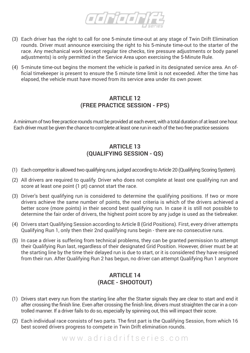

- (3) Each driver has the right to call for one 5-minute time-out at any stage of Twin Drift Elimination rounds. Driver must announce exercising the right to his 5-minute time-out to the starter of the race. Any mechanical work (except regular tire checks, tire pressure adjustments or body panel adjustments) is only permitted in the Service Area upon exercising the 5-Minute Rule.
- (4) 5-minute time-out begins the moment the vehicle is parked in its designated service area. An official timekeeper is present to ensure the 5 minute time limit is not exceeded. After the time has elapsed, the vehicle must have moved from its service area under its own power.

#### **ARTICLE 12 (FREE PRACTICE SESSION - FPS)**

A minimum of two free practice rounds must be provided at each event, with a total duration of at least one hour. Each driver must be given the chance to complete at least one run in each of the two free practice sessions

#### **ARTICLE 13 (QUALIFYING SESSION - QS)**

- (1) Each competitor is allowed two qualifying runs, judged according to Article 20 (Qualifying Scoring System).
- (2) All drivers are required to qualify. Driver who does not complete at least one qualifying run and score at least one point (1 pt) cannot start the race.
- (3) Driver's best qualifying run is considered to determine the qualifying positions. If two or more drivers achieve the same number of points, the next criteria is which of the drivers achieved a better score (more points) in their second best qualifying run. In case it is still not possible to determine the fair order of drivers, the highest point score by any judge is used as the tiebreaker.
- (4) Drivers start Qualifying Session according to Article 8 (Grid Positions). First, every driver attempts Qualifying Run 1, only then their 2nd qualifying runs begin - there are no consecutive runs.
- (5) In case a driver is suffering from technical problems, they can be granted permission to attempt their Qualifying Run last, regardless of their designated Grid Position. However, driver must be at the starting line by the time their delayed run is due to start, or it is considered they have resigned from their run. After Qualifying Run 2 has begun, no driver can attempt Qualifying Run 1 anymore

#### **ARTICLE 14 (RACE - SHOOTOUT)**

- (1) Drivers start every run from the starting line after the Starter signals they are clear to start and end it after crossing the finish line. Even after crossing the finish line, drivers must straighten the car in a controlled manner. If a driver fails to do so, especially by spinning out, this will impact their score.
- (2) Each individual race consists of two parts. The first part is the Qualifying Session, from which 16 best scored drivers progress to compete in Twin Drift elimination rounds.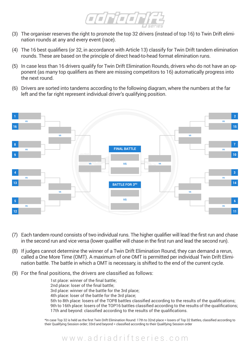

- (3) The organiser reserves the right to promote the top 32 drivers (instead of top 16) to Twin Drift elimination rounds at any and every event (race).
- (4) The 16 best qualifiers (or 32, in accordance with Article 13) classify for Twin Drift tandem elimination rounds. These are based on the principle of direct head-to-head format elimination runs.
- (5) In case less than 16 drivers qualify for Twin Drift Elimination Rounds, drivers who do not have an opponent (as many top qualifiers as there are missing competitors to 16) automatically progress into the next round.
- (6) Drivers are sorted into tandems according to the following diagram, where the numbers at the far left and the far right represent individual driver's qualifying position.



- (7) Each tandem round consists of two individual runs. The higher qualifier will lead the first run and chase in the second run and vice versa (lower qualifier will chase in the first run and lead the second run).
- (8) If judges cannot determine the winner of a Twin Drift Elimination Round, they can demand a rerun, called a One More Time (OMT). A maximum of one OMT is permitted per individual Twin Drift Elimination battle. The battle in which a OMT is necessary, is shifted to the end of the current cycle.

www.adriadriftseries.com

(9) For the final positions, the drivers are classified as follows:

1st place: winner of the final battle; 2nd place: loser of the final battle; 3rd place: winner of the battle for the 3rd place; 4th place: loser of the battle for the 3rd place; 5th to 8th place: losers of the TOP8 battles classified according to the results of the qualifications; 9th to 16th place: losers of the TOP16 battles classified according to the results of the qualifications; 17th and beyond: classified according to the results of the qualifications.

\*In case Top 32 is held as the first Twin Drift Elimination Round: 17th to 32nd place = losers of Top 32 Battles, classified according to their Qualifying Session order; 33rd and beyond = classified according to their Qualifying Session order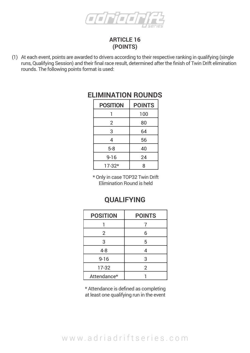

#### **ARTICLE 16 (POINTS)**

(1) At each event, points are awarded to drivers according to their respective ranking in qualifying (single runs, Qualifying Session) and their final race result, determined after the finish of Twin Drift elimination rounds. The following points format is used:

| <b>POSITION</b> | <b>POINTS</b> |
|-----------------|---------------|
|                 | 100           |
| 2               | 80            |
| 3               | 64            |
| 4               | 56            |
| $5 - 8$         | 40            |
| $9 - 16$        | 24            |
| $17-32*$        | 8             |

### **ELIMINATION ROUNDS**

\* Only in case TOP32 Twin Drift Elimination Round is held

### **QUALIFYING**

| <b>POSITION</b> | <b>POINTS</b>  |
|-----------------|----------------|
|                 |                |
| $\overline{2}$  | 6              |
| 3               | 5              |
| 4-8             | 4              |
| $9 - 16$        | 3              |
| 17-32           | $\overline{2}$ |
| Attendance*     |                |

\* Attendance is defined as completing at least one qualifying run in the event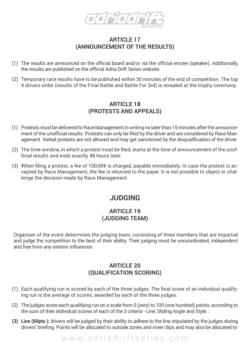

#### **ARTICLE 17 (ANNOUNCEMENT OF THE RESULTS)**

- (1) The results are announced on the official board and/or via the official emcee (speaker). Additionally, the results are published on the official Adria Drift Series website.
- (2) Temporary race results have to be published within 30 minutes of the end of competition. The top 4 drivers order (results of the Final Battle and Battle For 3rd) is revealed at the trophy ceremony.

#### **ARTICLE 18 (PROTESTS AND APPEALS)**

- (1) Protests must be delivered to Race Management in writing no later than 15 minutes after the announcement of the unofficial results. Protests can only be filed by the driver and are considered by Race Management. Verbal protests are not allowed and may get sanctioned by the disqualification of the driver.
- (2) The time window, in which a protest must be filed, starts at the time of announcement of the unofficial results and ends exactly 48 hours later.
- (3) When filing a protest, a fee of  $100,00 \notin \mathbb{R}$  is charged, payable immediately. In case the protest is accepted by Race Management, the fee is returned to the payer. It is not possible to object or challenge the decision made by Race Management.

### **JUDGING**

#### **ARTICLE 19 (JUDGING TEAM)**

Organiser of the event determines the judging team, consisting of three members that are impartial and judge the competition to the best of their ability. Their judging must be uncoordinated, independent and free from any exterior influences.

#### **ARTICLE 20 (QUALIFICATION SCORING)**

- (1) Each qualifying run is scored by each of the three judges. The final score of an individual qualifying run is the average of scores, awarded by each of the three judges.
- (2) The judges score each qualifying run on a scale from 0 (zero) to 100 (one hundred) points, according to the sum of their individual scores of each of the 3 criteria - Line, Sliding Angle and Style. :
- **(3) Line (60pts ):** drivers will be judged by their ability to adhere to the line stipulated by the judges during drivers' briefing. Points will be allocated to outside zones and inner clips and may also be allocated to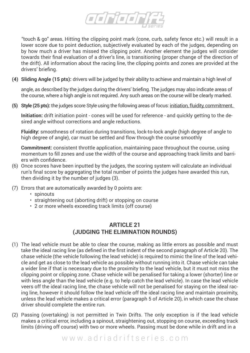

"touch & go" areas. Hitting the clipping point mark (cone, curb, safety fence etc.) will result in a lower score due to point deduction, subjectively evaluated by each of the judges, depending on by how much a driver has missed the clipping point. Another element the judges will consider towards their final evaluation of a driver's line, is transitioning (proper change of the direction of the drift). All information about the racing line, the clipping points and zones are provided at the drivers' briefing.

**(4) Sliding Angle (15 pts):** drivers will be judged by their ability to achieve and maintain a high level of

angle, as described by the judges during the drivers' briefing. The judges may also indicate areas of the course, where a high angle is not required. Any such areas on the course will be clearly marked.

**(5) Style (25 pts):** the judges score Style using the following areas of focus: initiation, fluidity, commitment.

**Initiation:** drift initiation point - cones will be used for reference - and quickly getting to the desired angle without corrections and angle reductions.

**Fluidity:** smoothness of rotation during transitions, lock-to-lock angle (high degree of angle to high degree of angle), car must be settled and flow through the course smoothly

**Commitment:** consistent throttle application, maintaining pace throughout the course, using momentum to fill zones and use the width of the course and approaching track limits and barriers with confidence.

- (6) Once scores have been inputted by the judges, the scoring system will calculate an individual run's final score by aggregating the total number of points the judges have awarded this run, then dividing it by the number of judges (3).
- (7) Errors that are automatically awarded by 0 points are:
	- spinouts
	- straightening out (aborting drift) or stopping on course
	- 2 or more wheels exceeding track limits (off course)

#### **ARTICLE 21 (JUDGING THE ELIMINATION ROUNDS)**

- (1) The lead vehicle must be able to clear the course, making as little errors as possible and must take the ideal racing line (as defined in the first indent of the second paragraph of Article 20). The chase vehicle (the vehicle following the lead vehicle) is required to mimic the line of the lead vehicle and get as close to the lead vehicle as possible without running into it. Chase vehicle can take a wider line if that is necessary due to the proximity to the lead vehicle, but it must not miss the clipping point or clipping zone. Chase vehicle will be penalised for taking a lower (shorter) line or with less angle than the lead vehicle (e.g. to help catch the lead vehicle). In case the lead vehicle veers off the ideal racing line, the chase vehicle will not be penalised for staying on the ideal racing line, however it should follow the lead vehicle off the ideal racing line and maintain proximity, unless the lead vehicle makes a critical error (paragraph 5 of Article 20), in which case the chase driver should complete the entire run.
- (2) Passing (overtaking) is not permitted in Twin Drifts. The only exception is if the lead vehicle makes a critical error, including a spinout, straightening out, stopping on course, exceeding track limits (driving off course) with two or more wheels. Passing must be done while in drift and in a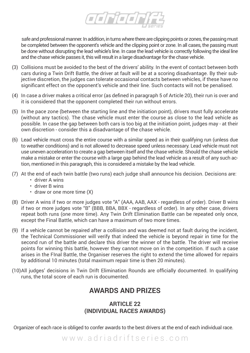

safe and professional manner. In addition, in turns where there are clipping points or zones, the passing must be completed between the opponent's vehicle and the clipping point or zone. In all cases, the passing must be done without disrupting the lead vehicle's line. In case the lead vehicle is correctly following the ideal line and the chase vehicle passes it, this will result in a large disadvantage for the chase vehicle.

- (3) Collisions must be avoided to the best of the drivers' ability. In the event of contact between both cars during a Twin Drift Battle, the driver at fault will be at a scoring disadvantage. By their subjective discretion, the judges can tolerate occasional contacts between vehicles, if these have no significant effect on the opponent's vehicle and their line. Such contacts will not be penalised.
- (4) In case a driver makes a critical error (as defined in paragraph 5 of Article 20), their run is over and it is considered that the opponent completed their run without errors.
- (5) In the pace zone (between the starting line and the initiation point), drivers must fully accelerate (without any tactics). The chase vehicle must enter the course as close to the lead vehicle as possible. In case the gap between both cars is too big at the initiation point, judges may - at their own discretion - consider this a disadvantage of the chase vehicle.
- (6) Lead vehicle must cross the entire course with a similar speed as in their qualifying run (unless due to weather conditions) and is not allowed to decrease speed unless necessary. Lead vehicle must not use uneven acceleration to create a gap between itself and the chase vehicle. Should the chase vehicle make a mistake or enter the course with a large gap behind the lead vehicle as a result of any such action, mentioned in this paragraph, this is considered a mistake by the lead vehicle.
- (7) At the end of each twin battle (two runs) each judge shall announce his decision. Decisions are:
	- driver A wins
	- driver B wins
	- draw or one more time (X)
- (8) Driver A wins if two or more judges vote "A" (AAA, AAB, AAX regardless of order). Driver B wins if two or more judges vote "B" (BBB, BBA, BBX - regardless of order). In any other case, drivers repeat both runs (one more time). Any Twin Drift Elimination Battle can be repeated only once, except the Final Battle, which can have a maximum of two more times.
- (9) If a vehicle cannot be repaired after a collision and was deemed not at fault during the incident, the Technical Commissioner will verify that indeed the vehicle is beyond repair in time for the second run of the battle and declare this driver the winner of the battle. The driver will receive points for winning this battle, however they cannot move on in the competition. If such a case arises in the FInal Battle, the Organiser reserves the right to extend the time allowed for repairs by additional 10 minutes (total maximum repair time is then 20 minutes).
- (10)All judges' decisions in Twin Drift Elimination Rounds are officially documented. In qualifying runs, the total score of each run is documented.

### **AWARDS AND PRIZES**

#### **ARTICLE 22 (INDIVIDUAL RACES AWARDS)**

Organizer of each race is obliged to confer awards to the best drivers at the end of each individual race.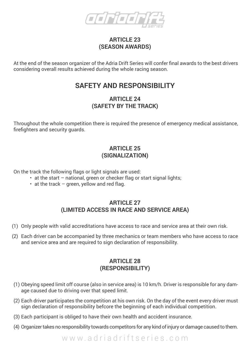

#### **ARTICLE 23 (SEASON AWARDS)**

At the end of the season organizer of the Adria Drift Series will confer final awards to the best drivers considering overall results achieved during the whole racing season.

### **SAFETY AND RESPONSIBILITY**

#### **ARTICLE 24 (SAFETY BY THE TRACK)**

Throughout the whole competition there is required the presence of emergency medical assistance, firefighters and security guards.

#### **ARTICLE 25 (SIGNALIZATION)**

On the track the following flags or light signals are used:

- at the start national, green or checker flag or start signal lights;
- $\cdot$  at the track green, yellow and red flag.

#### **ARTICLE 27 (LIMITED ACCESS IN RACE AND SERVICE AREA)**

- (1) Only people with valid accreditations have access to race and service area at their own risk.
- (2) Each driver can be accompanied by three mechanics or team members who have access to race and service area and are required to sign declaration of responsibility.

#### **ARTICLE 28 (RESPONSIBILITY)**

- (1) Obeying speed limit off course (also in service area) is 10 km/h. Driver is responsible for any damage caused due to driving over that speed limit.
- (2) Each driver participates the competition at his own risk. On the day of the event every driver must sign declaration of responsibility befcore the beginning of each individual competition.
- (3) Each participant is obliged to have their own health and accident insurance.
- (4) Organizer takes no responsibility towards competitors for any kind of injury or damage caused to them.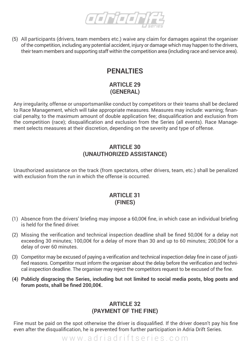

(5) All participants (drivers, team members etc.) waive any claim for damages against the organiser of the competition, including any potential accident, injury or damage which may happen to the drivers, their team members and supporting staff within the competition area (including race and service area).

# **PENALTIES**

#### **ARTICLE 29 (GENERAL)**

Any irregularity, offense or unsportsmanlike conduct by competitors or their teams shall be declared to Race Management, which will take appropriate measures. Measures may include: warning; financial penalty, to the maximum amount of double application fee; disqualification and exclusion from the competition (race); disqualification and exclusion from the Series (all events). Race Management selects measures at their discretion, depending on the severity and type of offense.

#### **ARTICLE 30 (UNAUTHORIZED ASSISTANCE)**

Unauthorized assistance on the track (from spectators, other drivers, team, etc.) shall be penalized with exclusion from the run in which the offense is occurred.

#### **ARTICLE 31 (FINES)**

- (1) Absence from the drivers' briefing may impose a 60,00€ fine, in which case an individual briefing is held for the fined driver.
- (2) Missing the verification and technical inspection deadline shall be fined 50,00€ for a delay not exceeding 30 minutes; 100,00€ for a delay of more than 30 and up to 60 minutes; 200,00€ for a delay of over 60 minutes.
- (3) Competitor may be excused of paying a verification and technical inspection delay fine in case of justified reasons. Competitor must inform the organiser about the delay before the verification and technical inspection deadline. The organiser may reject the competitors request to be excused of the fine.
- **(4) Publicly disgracing the Series, including but not limited to social media posts, blog posts and forum posts, shall be fined 200,00€.**

#### **ARTICLE 32 (PAYMENT OF THE FINE)**

Fine must be paid on the spot otherwise the driver is disqualified. If the driver doesn't pay his fine even after the disqualification, he is prevented from further participation in Adria Drift Series.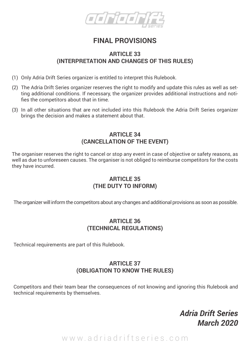

# **FINAL PROVISIONS**

#### **ARTICLE 33 (INTERPRETATION AND CHANGES OF THIS RULES)**

- (1) Only Adria Drift Series organizer is entitled to interpret this Rulebook.
- (2) The Adria Drift Series organizer reserves the right to modify and update this rules as well as setting additional conditions. If necessary, the organizer provides additional instructions and notifies the competitors about that in time.
- (3) In all other situations that are not included into this Rulebook the Adria Drift Series organizer brings the decision and makes a statement about that.

#### **ARTICLE 34 (CANCELLATION OF THE EVENT)**

The organiser reserves the right to cancel or stop any event in case of objective or safety reasons, as well as due to unforeseen causes. The organiser is not obliged to reimburse competitors for the costs they have incurred.

#### **ARTICLE 35 (THE DUTY TO INFORM)**

The organizer will inform the competitors about any changes and additional provisions as soon as possible.

#### **ARTICLE 36 (TECHNICAL REGULATIONS)**

Technical requirements are part of this Rulebook.

#### **ARTICLE 37 (OBLIGATION TO KNOW THE RULES)**

Competitors and their team bear the consequences of not knowing and ignoring this Rulebook and technical requirements by themselves.

# *Adria Drift Series March 2020*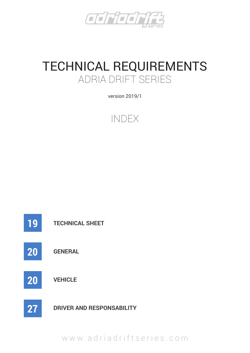

# TECHNICAL REQUIREMENTS ADRIA DRIFT SERIES

version 2019/1



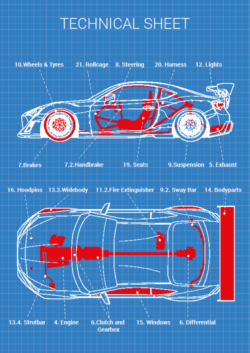# **TECHNICAL SHEET**

10. Wheels & Tyres 21. Rollcage 8. Steering 20. Harness 12. Lights





4. Engine **6.Clutch and 6. Differential** 13.4. Strutbar 15. Windows **Gearbox**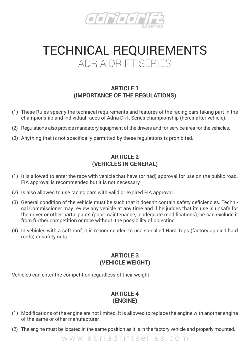

# TECHNICAL REQUIREMENTS ADRIA DRIFT SERIES

#### **ARTICLE 1 (IMPORTANCE OF THE REGULATIONS)**

- (1) These Rules specify the technical requirements and features of the racing cars taking part in the championship and individual races of Adria Drift Series championship (hereinafter vehicle).
- (2) Regulations also provide mandatory equipment of the drivers and for service area for the vehicles.
- (3) Anything that is not specifically permitted by these regulations is prohibited.

#### **ARTICLE 2 (VEHICLES IN GENERAL)**

- (1) It is allowed to enter the race with vehicle that have (or had) approval for use on the public road. FIA approval is recommended but it is not necessary.
- (2) Is also allowed to use racing cars with valid or expired FIA approval.
- (3) General condition of the vehicle must be such that it doesn't contain safety deficiencies. Technical Commissioner may review any vehicle at any time and if he judges that its use is unsafe for the driver or other participants (poor maintenance, inadequate modifications), he can exclude it from further competition or race without the possibility of objecting.
- (4) In vehicles with a soft roof, it is recommended to use so-called Hard Tops (factory applied hard roofs) or safety nets.

#### **ARTICLE 3 (VEHICLE WEIGHT)**

Vehicles can enter the competition regardless of their weight.

#### **ARTICLE 4 (ENGINE)**

- (1) Modifications of the engine are not limited. It is allowed to replace the engine with another engine of the same or other manufacturer.
- (2) The engine must be located in the same position as it is in the factory vehicle and properly mounted.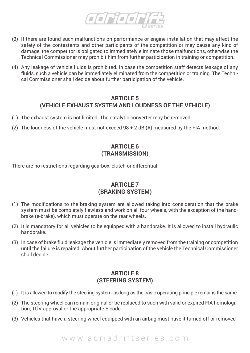

- (3) If there are found such malfunctions on performance or engine installation that may affect the safety of the contestants and other participants of the competition or may cause any kind of damage, the competitor is obligated to immediately eliminate those malfunctions, otherwise the Technical Commissioner may prohibit him from further participation in training or competition.
- (4) Any leakage of vehicle fluids is prohibited. In case the competition staff detects leakage of any fluids, such a vehicle can be immediately eliminated from the competition or training. The Technical Commissioner shall decide about further participation of the vehicle.

#### **ARTICLE 5 (VEHICLE EXHAUST SYSTEM AND LOUDNESS OF THE VEHICLE)**

- (1) The exhaust system is not limited. The catalytic converter may be removed.
- (2) The loudness of the vehicle must not exceed  $98 + 2$  dB (A) measured by the FIA method.

#### **ARTICLE 6 (TRANSMISSION)**

There are no restrictions regarding gearbox, clutch or differential.

#### **ARTICLE 7 (BRAKING SYSTEM)**

- (1) The modifications to the braking system are allowed taking into consideration that the brake system must be completely flawless and work on all four wheels, with the exception of the handbrake (e-brake), which must operate on the rear wheels.
- (2) It is mandatory for all vehicles to be equipped with a handbrake. It is allowed to install hydraulic handbrake.
- (3) In case of brake fluid leakage the vehicle is immediately removed from the training or competition until the failure is repaired. About further participation of the vehicle the Technical Commissioner shall decide.

#### **ARTICLE 8 (STEERING SYSTEM)**

- (1) It is allowed to modify the steering system, as long as the basic operating principle remains the same.
- (2) The steering wheel can remain original or be replaced to such with valid or expired FIA homologation, TÜV approval or the appropriate E code.
- (3) Vehicles that have a steering wheel equipped with an airbag must have it turned off or removed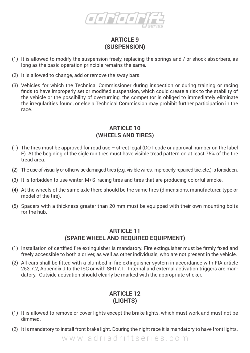

#### **ARTICLE 9 (SUSPENSION)**

- (1) It is allowed to modify the suspension freely, replacing the springs and / or shock absorbers, as long as the basic operation principle remains the same.
- (2) It is allowed to change, add or remove the sway bars.
- (3) Vehicles for which the Technical Commissioner during inspection or during training or racing finds to have improperly set or modified suspension, which could create a risk to the stability of the vehicle or the possibility of overturning, the competitor is obliged to immediately eliminate the irregularities found, or else a Technical Commission may prohibit further participation in the race.

#### **ARTICLE 10 (WHEELS AND TIRES)**

- (1) The tires must be approved for road use street legal (DOT code or approval number on the label E). At the begining of the sigle run tires must have visible tread pattern on at least 75% of the tire tread area.
- (2) The use of visually or otherwise damaged tires (e.g. visible wires, improperly repaired tire, etc.) is forbidden.
- (3) It is forbidden to use winter, M+S ,racing tires and tires that are producing colorful smoke.
- (4) At the wheels of the same axle there should be the same tires (dimensions, manufacturer, type or model of the tire).
- (5) Spacers with a thickness greater than 20 mm must be equipped with their own mounting bolts for the hub.

#### **ARTICLE 11 (SPARE WHEEL AND REQUIRED EQUIPMENT)**

- (1) Installation of certified fire extinguisher is mandatory. Fire extinguisher must be firmly fixed and freely accessible to both a driver, as well as other individuals, who are not present in the vehicle.
- (2) All cars shall be fitted with a plumbed-in fire extinguisher system in accordance with FIA article 253.7.2, Appendix J to the ISC or with SFI17.1. Internal and external activation triggers are mandatory. Outside activation should clearly be marked with the appropriate sticker.

#### **ARTICLE 12 (LIGHTS)**

- (1) It is allowed to remove or cover lights except the brake lights, which must work and must not be dimmed.
- (2) It is mandatory to install front brake light. Douring the night race it is mandatory to have front lights.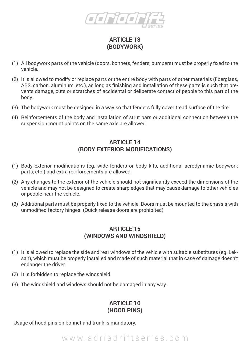

#### **ARTICLE 13 (BODYWORK)**

- (1) All bodywork parts of the vehicle (doors, bonnets, fenders, bumpers) must be properly fixed to the vehicle.
- (2) It is allowed to modify or replace parts or the entire body with parts of other materials (fiberglass, ABS, carbon, aluminum, etc.), as long as finishing and installation of these parts is such that prevents damage, cuts or scratches of accidental or deliberate contact of people to this part of the body.
- (3) The bodywork must be designed in a way so that fenders fully cover tread surface of the tire.
- (4) Reinforcements of the body and installation of strut bars or additional connection between the suspension mount points on the same axle are allowed.

#### **ARTICLE 14 (BODY EXTERIOR MODIFICATIONS)**

- (1) Body exterior modifications (eg. wide fenders or body kits, additional aerodynamic bodywork parts, etc.) and extra reinforcements are allowed.
- (2) Any changes to the exterior of the vehicle should not significantly exceed the dimensions of the vehicle and may not be designed to create sharp edges that may cause damage to other vehicles or people near the vehicle.
- (3) Additional parts must be properly fixed to the vehicle. Doors must be mounted to the chassis with unmodified factory hinges. (Quick release doors are prohibited)

#### **ARTICLE 15 (WINDOWS AND WINDSHIELD)**

- (1) It is allowed to replace the side and rear windows of the vehicle with suitable substitutes (eg. Leksan), which must be properly installed and made of such material that in case of damage doesn't endanger the driver.
- (2) It is forbidden to replace the windshield.
- (3) The windshield and windows should not be damaged in any way.

#### **ARTICLE 16 (HOOD PINS)**

Usage of hood pins on bonnet and trunk is mandatory.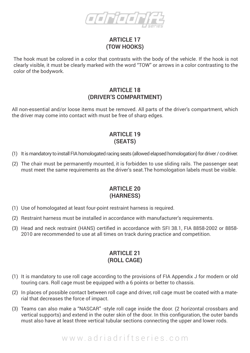

#### **ARTICLE 17 (TOW HOOKS)**

The hook must be colored in a color that contrasts with the body of the vehicle. If the hook is not clearly visible, it must be clearly marked with the word "TOW" or arrows in a color contrasting to the color of the bodywork.

#### **ARTICLE 18 (DRIVER'S COMPARTMENT)**

All non-essential and/or loose items must be removed. All parts of the driver's compartment, which the driver may come into contact with must be free of sharp edges.

#### **ARTICLE 19 (SEATS)**

- (1) It is mandatory to install FIA homologated racing seats (allowed elapsed homologation) for driver / co-driver.
- (2) The chair must be permanently mounted, it is forbidden to use sliding rails. The passenger seat must meet the same requirements as the driver's seat.The homologation labels must be visible.

#### **ARTICLE 20 (HARNESS)**

- (1) Use of homologated at least four-point restraint harness is required.
- (2) Restraint harness must be installed in accordance with manufacturer's requirements.
- (3) Head and neck restraint (HANS) certified in accordance with SFI 38.1, FIA 8858-2002 or 8858- 2010 are recommended to use at all times on track during practice and competition.

#### **ARTICLE 21 (ROLL CAGE)**

- (1) It is mandatory to use roll cage according to the provisions of FIA Appendix J for modern or old touring cars. Roll cage must be equipped with a 6 points or better to chassis.
- (2) In places of possible contact between roll cage and driver, roll cage must be coated with a material that decreases the force of impact.
- (3) Teams can also make a "NASCAR" -style roll cage inside the door. (2 horizontal crossbars and vertical supports) and extend in the outer skin of the door. In this configuration, the outer bands must also have at least three vertical tubular sections connecting the upper and lower rods.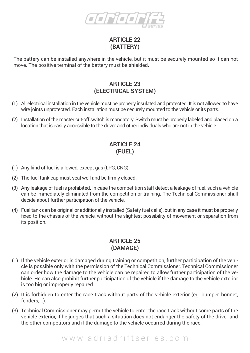

#### **ARTICLE 22 (BATTERY)**

The battery can be installed anywhere in the vehicle, but it must be securely mounted so it can not move. The positive terminal of the battery must be shielded.

#### **ARTICLE 23 (ELECTRICAL SYSTEM)**

- (1) All electrical installation in the vehicle must be properly insulated and protected. It is not allowed to have wire joints unprotected. Each installation must be securely mounted to the vehicle or its parts.
- (2) Installation of the master cut-off switch is mandatory. Switch must be properly labeled and placed on a location that is easily accessible to the driver and other individuals who are not in the vehicle.

#### **ARTICLE 24 (FUEL)**

- (1) Any kind of fuel is allowed, except gas (LPG, CNG).
- (2) The fuel tank cap must seal well and be firmly closed.
- (3) Any leakage of fuel is prohibited. In case the competition staff detect a leakage of fuel, such a vehicle can be immediately eliminated from the competition or training. The Technical Commissioner shall decide about further participation of the vehicle.
- (4) Fuel tank can be original or additionally installed (Safety fuel cells), but in any case it must be properly fixed to the chassis of the vehicle, without the slightest possibility of movement or separation from its position.

#### **ARTICLE 25 (DAMAGE)**

- (1) If the vehicle exterior is damaged during training or competition, further participation of the vehicle is possible only with the permission of the Technical Commissioner. Technical Commissioner can order how the damage to the vehicle can be repaired to allow further participation of the vehicle. He can also prohibit further participation of the vehicle if the damage to the vehicle exterior is too big or improperly repaired.
- (2) It is forbidden to enter the race track without parts of the vehicle exterior (eg. bumper, bonnet, fenders,...).
- (3) Technical Commissioner may permit the vehicle to enter the race track without some parts of the vehicle exterior, if he judges that such a situation does not endanger the safety of the driver and the other competitors and if the damage to the vehicle occurred during the race.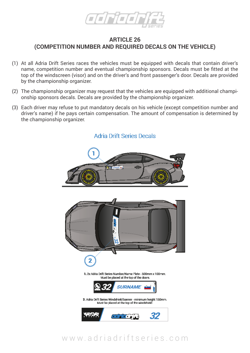

#### **ARTICLE 26 (COMPETITION NUMBER AND REQUIRED DECALS ON THE VEHICLE)**

- (1) At all Adria Drift Series races the vehicles must be equipped with decals that contain driver's name, competition number and eventual championship sponsors. Decals must be fitted at the top of the windscreen (visor) and on the driver's and front passenger's door. Decals are provided by the championship organizer.
- (2) The championship organizer may request that the vehicles are equipped with additional championship sponsors decals. Decals are provided by the championship organizer.
- (3) Each driver may refuse to put mandatory decals on his vehicle (except competition number and driver's name) if he pays certain compensation. The amount of compensation is determined by the championship organizer.



#### **Adria Drift Series Decals**